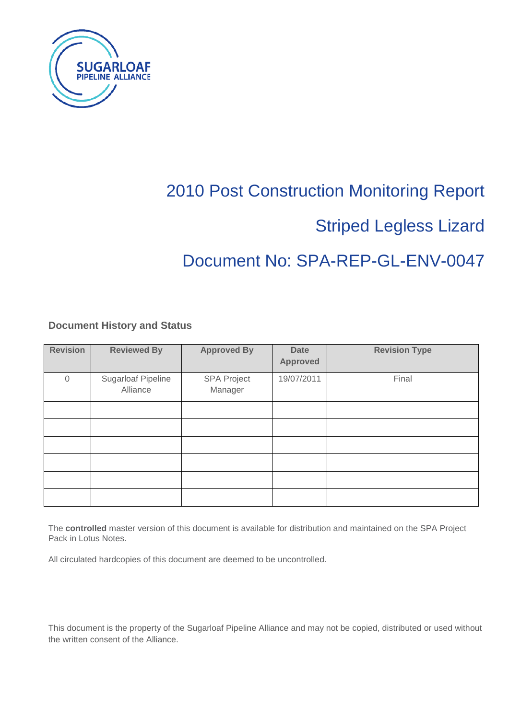

# 2010 Post Construction Monitoring Report

# Striped Legless Lizard

# Document No: SPA-REP-GL-ENV-0047

## **Document History and Status**

| <b>Revision</b> | <b>Reviewed By</b>                    | <b>Approved By</b>            | <b>Date</b><br><b>Approved</b> | <b>Revision Type</b> |
|-----------------|---------------------------------------|-------------------------------|--------------------------------|----------------------|
| $\Omega$        | <b>Sugarloaf Pipeline</b><br>Alliance | <b>SPA Project</b><br>Manager | 19/07/2011                     | Final                |
|                 |                                       |                               |                                |                      |
|                 |                                       |                               |                                |                      |
|                 |                                       |                               |                                |                      |
|                 |                                       |                               |                                |                      |
|                 |                                       |                               |                                |                      |
|                 |                                       |                               |                                |                      |

The **controlled** master version of this document is available for distribution and maintained on the SPA Project Pack in Lotus Notes.

All circulated hardcopies of this document are deemed to be uncontrolled.

This document is the property of the Sugarloaf Pipeline Alliance and may not be copied, distributed or used without the written consent of the Alliance.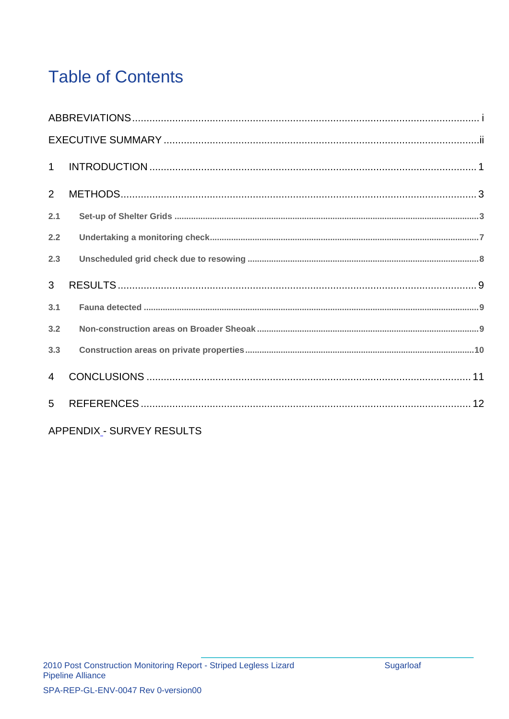# **Table of Contents**

| $\mathbf{1}$   |  |
|----------------|--|
| $\overline{2}$ |  |
| 2.1            |  |
| 2.2            |  |
| 2.3            |  |
| $\mathbf{3}$   |  |
| 3.1            |  |
| 3.2            |  |
| 3.3            |  |
| $\overline{4}$ |  |
| 5 <sup>5</sup> |  |

APPENDIX - SURVEY RESULTS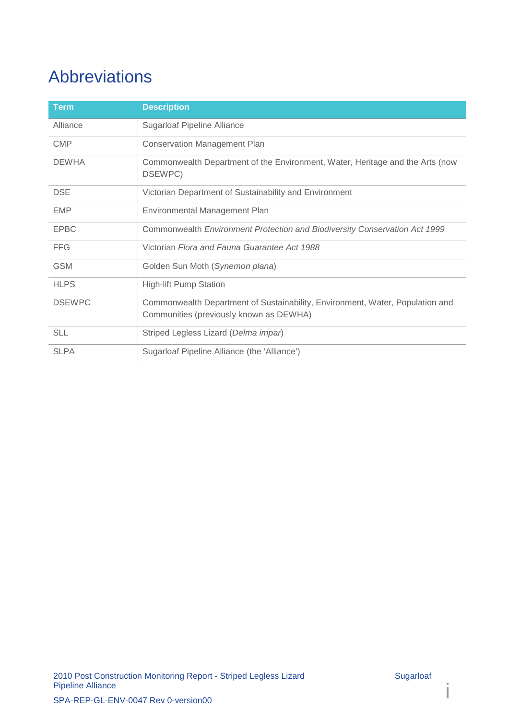# Abbreviations

| <b>Term</b>   | <b>Description</b>                                                                                                       |
|---------------|--------------------------------------------------------------------------------------------------------------------------|
| Alliance      | <b>Sugarloaf Pipeline Alliance</b>                                                                                       |
| <b>CMP</b>    | <b>Conservation Management Plan</b>                                                                                      |
| <b>DEWHA</b>  | Commonwealth Department of the Environment, Water, Heritage and the Arts (now<br>DSEWPC)                                 |
| <b>DSE</b>    | Victorian Department of Sustainability and Environment                                                                   |
| <b>EMP</b>    | Environmental Management Plan                                                                                            |
| <b>EPBC</b>   | Commonwealth Environment Protection and Biodiversity Conservation Act 1999                                               |
| <b>FFG</b>    | Victorian Flora and Fauna Guarantee Act 1988                                                                             |
| <b>GSM</b>    | Golden Sun Moth (Synemon plana)                                                                                          |
| <b>HLPS</b>   | <b>High-lift Pump Station</b>                                                                                            |
| <b>DSEWPC</b> | Commonwealth Department of Sustainability, Environment, Water, Population and<br>Communities (previously known as DEWHA) |
| <b>SLL</b>    | Striped Legless Lizard (Delma impar)                                                                                     |
| <b>SLPA</b>   | Sugarloaf Pipeline Alliance (the 'Alliance')                                                                             |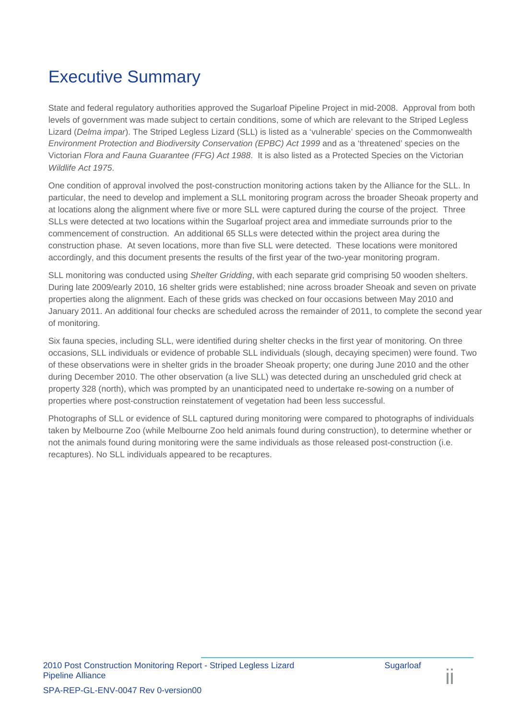# Executive Summary

State and federal regulatory authorities approved the Sugarloaf Pipeline Project in mid-2008. Approval from both levels of government was made subject to certain conditions, some of which are relevant to the Striped Legless Lizard (*Delma impar*). The Striped Legless Lizard (SLL) is listed as a 'vulnerable' species on the Commonwealth *Environment Protection and Biodiversity Conservation (EPBC) Act 1999* and as a 'threatened' species on the Victorian *Flora and Fauna Guarantee (FFG) Act 1988*. It is also listed as a Protected Species on the Victorian *Wildlife Act 1975*.

One condition of approval involved the post-construction monitoring actions taken by the Alliance for the SLL. In particular, the need to develop and implement a SLL monitoring program across the broader Sheoak property and at locations along the alignment where five or more SLL were captured during the course of the project. Three SLLs were detected at two locations within the Sugarloaf project area and immediate surrounds prior to the commencement of construction. An additional 65 SLLs were detected within the project area during the construction phase. At seven locations, more than five SLL were detected. These locations were monitored accordingly, and this document presents the results of the first year of the two-year monitoring program.

SLL monitoring was conducted using *Shelter Gridding*, with each separate grid comprising 50 wooden shelters. During late 2009/early 2010, 16 shelter grids were established; nine across broader Sheoak and seven on private properties along the alignment. Each of these grids was checked on four occasions between May 2010 and January 2011. An additional four checks are scheduled across the remainder of 2011, to complete the second year of monitoring.

Six fauna species, including SLL, were identified during shelter checks in the first year of monitoring. On three occasions, SLL individuals or evidence of probable SLL individuals (slough, decaying specimen) were found. Two of these observations were in shelter grids in the broader Sheoak property; one during June 2010 and the other during December 2010. The other observation (a live SLL) was detected during an unscheduled grid check at property 328 (north), which was prompted by an unanticipated need to undertake re-sowing on a number of properties where post-construction reinstatement of vegetation had been less successful.

Photographs of SLL or evidence of SLL captured during monitoring were compared to photographs of individuals taken by Melbourne Zoo (while Melbourne Zoo held animals found during construction), to determine whether or not the animals found during monitoring were the same individuals as those released post-construction (i.e. recaptures). No SLL individuals appeared to be recaptures.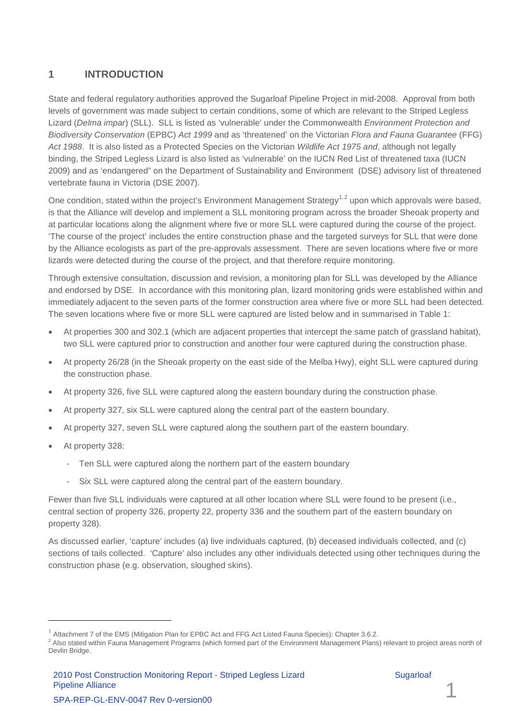## <span id="page-4-0"></span>**1 INTRODUCTION**

State and federal regulatory authorities approved the Sugarloaf Pipeline Project in mid-2008. Approval from both levels of government was made subject to certain conditions, some of which are relevant to the Striped Legless Lizard (*Delma impar*) (SLL). SLL is listed as 'vulnerable' under the Commonwealth *Environment Protection and Biodiversity Conservation* (EPBC) *Act 1999* and as 'threatened' on the Victorian *Flora and Fauna Guarantee* (FFG) *Act 1988*. It is also listed as a Protected Species on the Victorian *Wildlife Act 1975 and*, although not legally binding, the Striped Legless Lizard is also listed as 'vulnerable' on the IUCN Red List of threatened taxa (IUCN 2009) and as 'endangered" on the Department of Sustainability and Environment (DSE) advisory list of threatened vertebrate fauna in Victoria (DSE 2007).

One condition, stated within the project's Environment Management Strategy<sup>[1](#page-6-2),[2](#page-4-1)</sup> upon which approvals were based, is that the Alliance will develop and implement a SLL monitoring program across the broader Sheoak property and at particular locations along the alignment where five or more SLL were captured during the course of the project. 'The course of the project' includes the entire construction phase and the targeted surveys for SLL that were done by the Alliance ecologists as part of the pre-approvals assessment. There are seven locations where five or more lizards were detected during the course of the project, and that therefore require monitoring.

Through extensive consultation, discussion and revision, a monitoring plan for SLL was developed by the Alliance and endorsed by DSE. In accordance with this monitoring plan, lizard monitoring grids were established within and immediately adjacent to the seven parts of the former construction area where five or more SLL had been detected. The seven locations where five or more SLL were captured are listed below and in summarised in Table 1:

- At properties 300 and 302.1 (which are adjacent properties that intercept the same patch of grassland habitat), two SLL were captured prior to construction and another four were captured during the construction phase.
- At property 26/28 (in the Sheoak property on the east side of the Melba Hwy), eight SLL were captured during the construction phase.
- At property 326, five SLL were captured along the eastern boundary during the construction phase.
- At property 327, six SLL were captured along the central part of the eastern boundary.
- At property 327, seven SLL were captured along the southern part of the eastern boundary.
- At property 328:

-

- Ten SLL were captured along the northern part of the eastern boundary
- Six SLL were captured along the central part of the eastern boundary.

Fewer than five SLL individuals were captured at all other location where SLL were found to be present (i.e., central section of property 326, property 22, property 336 and the southern part of the eastern boundary on property 328).

As discussed earlier, 'capture' includes (a) live individuals captured, (b) deceased individuals collected, and (c) sections of tails collected. 'Capture' also includes any other individuals detected using other techniques during the construction phase (e.g. observation, sloughed skins).

Attachment 7 of the EMS (Mitigation Plan for EPBC Act and FFG Act Listed Fauna Species): Chapter 3.6.2.

<span id="page-4-2"></span><span id="page-4-1"></span><sup>&</sup>lt;sup>2</sup> Also stated within Fauna Management Programs (which formed part of the Environment Management Plans) relevant to project areas north of Devlin Bridge.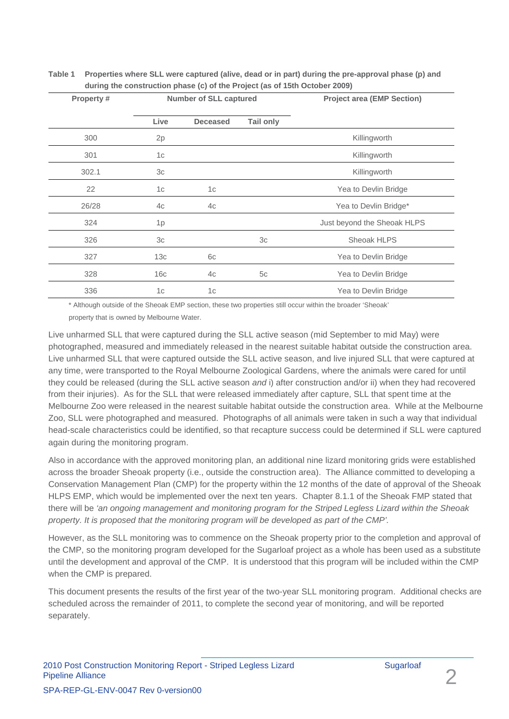#### **Table 1 Properties where SLL were captured (alive, dead or in part) during the pre-approval phase (p) and during the construction phase (c) of the Project (as of 15th October 2009)**

| <b>Property#</b> |                | <b>Number of SLL captured</b> |                  | <b>Project area (EMP Section)</b> |
|------------------|----------------|-------------------------------|------------------|-----------------------------------|
|                  | Live           | <b>Deceased</b>               | <b>Tail only</b> |                                   |
| 300              | 2p             |                               |                  | Killingworth                      |
| 301              | 1 <sub>c</sub> |                               |                  | Killingworth                      |
| 302.1            | 3c             |                               |                  | Killingworth                      |
| 22               | 1 <sub>c</sub> | 1 <sub>c</sub>                |                  | Yea to Devlin Bridge              |
| 26/28            | 4c             | 4c                            |                  | Yea to Devlin Bridge*             |
| 324              | 1 <sub>p</sub> |                               |                  | Just beyond the Sheoak HLPS       |
| 326              | 3 <sub>c</sub> |                               | 3 <sub>c</sub>   | Sheoak HLPS                       |
| 327              | 13c            | 6c                            |                  | Yea to Devlin Bridge              |
| 328              | 16c            | 4c                            | 5c               | Yea to Devlin Bridge              |
| 336              | 1 <sub>c</sub> | 1c                            |                  | Yea to Devlin Bridge              |

\* Although outside of the Sheoak EMP section, these two properties still occur within the broader 'Sheoak' property that is owned by Melbourne Water.

Live unharmed SLL that were captured during the SLL active season (mid September to mid May) were photographed, measured and immediately released in the nearest suitable habitat outside the construction area. Live unharmed SLL that were captured outside the SLL active season, and live injured SLL that were captured at any time, were transported to the Royal Melbourne Zoological Gardens, where the animals were cared for until they could be released (during the SLL active season *and* i) after construction and/or ii) when they had recovered from their injuries). As for the SLL that were released immediately after capture, SLL that spent time at the Melbourne Zoo were released in the nearest suitable habitat outside the construction area. While at the Melbourne Zoo, SLL were photographed and measured. Photographs of all animals were taken in such a way that individual head-scale characteristics could be identified, so that recapture success could be determined if SLL were captured again during the monitoring program.

Also in accordance with the approved monitoring plan, an additional nine lizard monitoring grids were established across the broader Sheoak property (i.e., outside the construction area). The Alliance committed to developing a Conservation Management Plan (CMP) for the property within the 12 months of the date of approval of the Sheoak HLPS EMP, which would be implemented over the next ten years. Chapter 8.1.1 of the Sheoak FMP stated that there will be *'an ongoing management and monitoring program for the Striped Legless Lizard within the Sheoak property. It is proposed that the monitoring program will be developed as part of the CMP'.*

However, as the SLL monitoring was to commence on the Sheoak property prior to the completion and approval of the CMP, so the monitoring program developed for the Sugarloaf project as a whole has been used as a substitute until the development and approval of the CMP. It is understood that this program will be included within the CMP when the CMP is prepared.

This document presents the results of the first year of the two-year SLL monitoring program. Additional checks are scheduled across the remainder of 2011, to complete the second year of monitoring, and will be reported separately.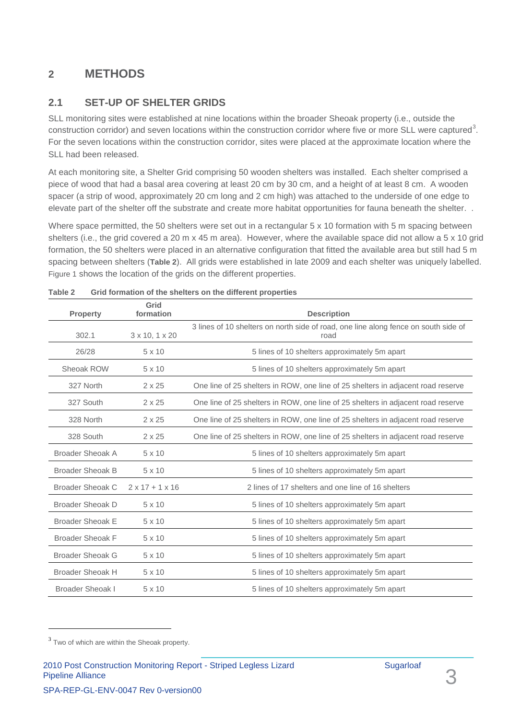# <span id="page-6-0"></span>**2 METHODS**

## <span id="page-6-1"></span>**2.1 SET-UP OF SHELTER GRIDS**

SLL monitoring sites were established at nine locations within the broader Sheoak property (i.e., outside the construction corridor) and seven locations within the construction corridor where five or more SLL were captured<sup>[3](#page-4-2)</sup>. For the seven locations within the construction corridor, sites were placed at the approximate location where the SLL had been released.

At each monitoring site, a Shelter Grid comprising 50 wooden shelters was installed. Each shelter comprised a piece of wood that had a basal area covering at least 20 cm by 30 cm, and a height of at least 8 cm. A wooden spacer (a strip of wood, approximately 20 cm long and 2 cm high) was attached to the underside of one edge to elevate part of the shelter off the substrate and create more habitat opportunities for fauna beneath the shelter. .

Where space permitted, the 50 shelters were set out in a rectangular 5 x 10 formation with 5 m spacing between shelters (i.e., the grid covered a 20 m x 45 m area). However, where the available space did not allow a 5 x 10 grid formation, the 50 shelters were placed in an alternative configuration that fitted the available area but still had 5 m spacing between shelters (**[Table 2](#page-6-3)**). All grids were established in late 2009 and each shelter was uniquely labelled. [Figure 1](#page--1-0) shows the location of the grids on the different properties.

| <b>Property</b>         | Grid<br>formation           | <b>Description</b>                                                                          |
|-------------------------|-----------------------------|---------------------------------------------------------------------------------------------|
| 302.1                   | $3 \times 10, 1 \times 20$  | 3 lines of 10 shelters on north side of road, one line along fence on south side of<br>road |
| 26/28                   | $5 \times 10$               | 5 lines of 10 shelters approximately 5m apart                                               |
| Sheoak ROW              | $5 \times 10$               | 5 lines of 10 shelters approximately 5m apart                                               |
| 327 North               | $2 \times 25$               | One line of 25 shelters in ROW, one line of 25 shelters in adjacent road reserve            |
| 327 South               | $2 \times 25$               | One line of 25 shelters in ROW, one line of 25 shelters in adjacent road reserve            |
| 328 North               | $2 \times 25$               | One line of 25 shelters in ROW, one line of 25 shelters in adjacent road reserve            |
| 328 South               | $2 \times 25$               | One line of 25 shelters in ROW, one line of 25 shelters in adjacent road reserve            |
| <b>Broader Sheoak A</b> | $5 \times 10$               | 5 lines of 10 shelters approximately 5m apart                                               |
| <b>Broader Sheoak B</b> | $5 \times 10$               | 5 lines of 10 shelters approximately 5m apart                                               |
| <b>Broader Sheoak C</b> | $2 \times 17 + 1 \times 16$ | 2 lines of 17 shelters and one line of 16 shelters                                          |
| Broader Sheoak D        | $5 \times 10$               | 5 lines of 10 shelters approximately 5m apart                                               |
| <b>Broader Sheoak E</b> | 5 x 10                      | 5 lines of 10 shelters approximately 5m apart                                               |
| <b>Broader Sheoak F</b> | 5 x 10                      | 5 lines of 10 shelters approximately 5m apart                                               |
| <b>Broader Sheoak G</b> | 5 x 10                      | 5 lines of 10 shelters approximately 5m apart                                               |
| <b>Broader Sheoak H</b> | $5 \times 10$               | 5 lines of 10 shelters approximately 5m apart                                               |
| <b>Broader Sheoak I</b> | 5 x 10                      | 5 lines of 10 shelters approximately 5m apart                                               |

<span id="page-6-3"></span>

| Table 2 |  |  | Grid formation of the shelters on the different properties |  |
|---------|--|--|------------------------------------------------------------|--|
|---------|--|--|------------------------------------------------------------|--|

-

<span id="page-6-2"></span><sup>&</sup>lt;sup>3</sup> Two of which are within the Sheoak property.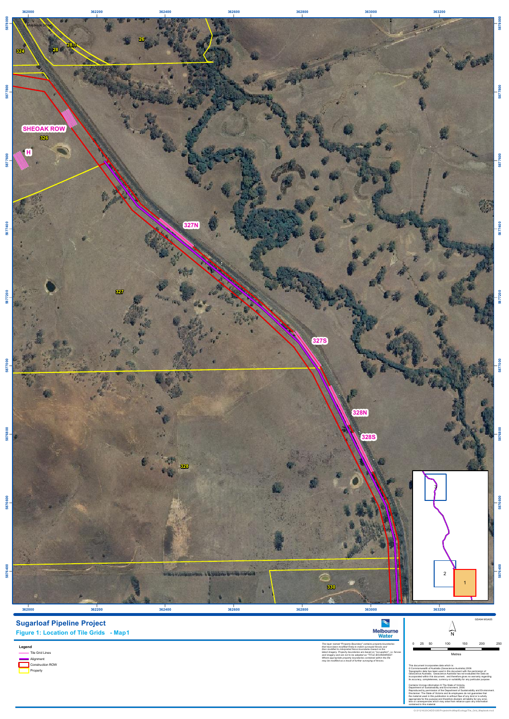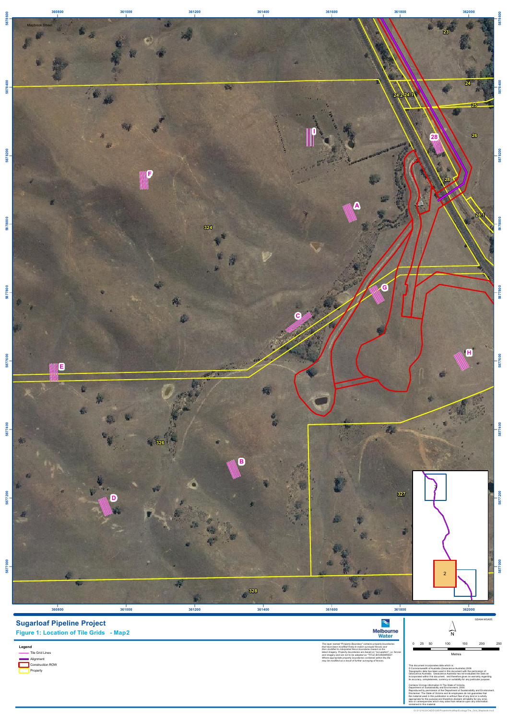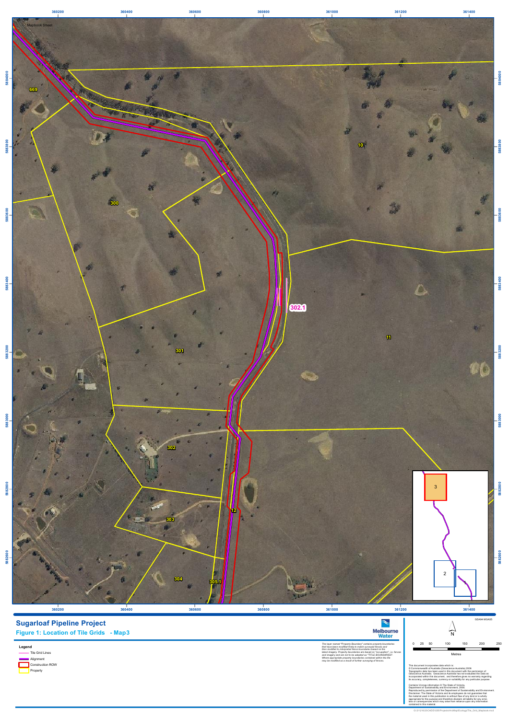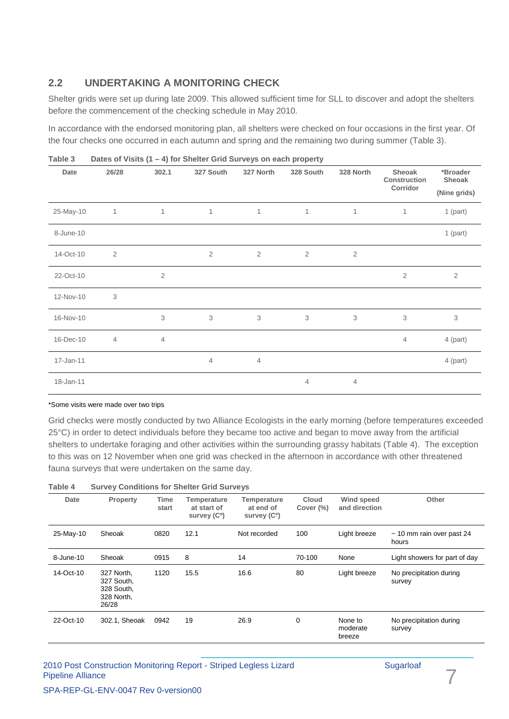## <span id="page-10-0"></span>**2.2 UNDERTAKING A MONITORING CHECK**

Shelter grids were set up during late 2009. This allowed sufficient time for SLL to discover and adopt the shelters before the commencement of the checking schedule in May 2010.

In accordance with the endorsed monitoring plan, all shelters were checked on four occasions in the first year. Of the four checks one occurred in each autumn and spring and the remaining two during summer [\(Table 3\)](#page-10-1).

| $1$ univ v |                |                | $\frac{1}{2}$ of vicing $\left(1 - \frac{1}{2}\right)$ for choicer critical darrege on data property |                |            |            |                                           |                                    |
|------------|----------------|----------------|------------------------------------------------------------------------------------------------------|----------------|------------|------------|-------------------------------------------|------------------------------------|
| Date       | 26/28          | 302.1          | 327 South                                                                                            | 327 North      | 328 South  | 328 North  | Sheoak<br><b>Construction</b><br>Corridor | *Broader<br>Sheoak<br>(Nine grids) |
|            |                |                |                                                                                                      |                |            |            |                                           |                                    |
| 25-May-10  | 1              | 1              | 1                                                                                                    | $\mathbf{1}$   | 1          | 1          | 1                                         | $1$ (part)                         |
| 8-June-10  |                |                |                                                                                                      |                |            |            |                                           | $1$ (part)                         |
| 14-Oct-10  | $\overline{2}$ |                | $\sqrt{2}$                                                                                           | $\sqrt{2}$     | $\sqrt{2}$ | $\sqrt{2}$ |                                           |                                    |
| 22-Oct-10  |                | $\mathbf{2}$   |                                                                                                      |                |            |            | $\overline{2}$                            | $\overline{2}$                     |
| 12-Nov-10  | 3              |                |                                                                                                      |                |            |            |                                           |                                    |
| 16-Nov-10  |                | 3              | 3                                                                                                    | 3              | 3          | 3          | 3                                         | 3                                  |
| 16-Dec-10  | $\overline{4}$ | $\overline{4}$ |                                                                                                      |                |            |            | $\overline{4}$                            | 4 (part)                           |
| 17-Jan-11  |                |                | $\overline{4}$                                                                                       | $\overline{4}$ |            |            |                                           | 4 (part)                           |
| 18-Jan-11  |                |                |                                                                                                      |                | 4          | 4          |                                           |                                    |

<span id="page-10-1"></span>**Table 3 Dates of Visits (1 – 4) for Shelter Grid Surveys on each property**

#### \*Some visits were made over two trips

Grid checks were mostly conducted by two Alliance Ecologists in the early morning (before temperatures exceeded 25°C) in order to detect individuals before they became too active and began to move away from the artificial shelters to undertake foraging and other activities within the surrounding grassy habitats [\(Table 4\)](#page-10-2). The exception to this was on 12 November when one grid was checked in the afternoon in accordance with other threatened fauna surveys that were undertaken on the same day.

<span id="page-10-2"></span>

| Table 4   |                                                               | <b>Survey Conditions for Shelter Grid Surveys</b> |                                                        |                                                             |                              |                                    |                                         |  |  |
|-----------|---------------------------------------------------------------|---------------------------------------------------|--------------------------------------------------------|-------------------------------------------------------------|------------------------------|------------------------------------|-----------------------------------------|--|--|
| Date      | Property                                                      | Time<br>start                                     | Temperature<br>at start of<br>survey (C <sup>o</sup> ) | <b>Temperature</b><br>at end of<br>survey (C <sup>o</sup> ) | <b>Cloud</b><br>Cover $(\%)$ | <b>Wind speed</b><br>and direction | Other                                   |  |  |
| 25-May-10 | Sheoak                                                        | 0820                                              | 12.1                                                   | Not recorded                                                | 100                          | Light breeze                       | $\sim$ 10 mm rain over past 24<br>hours |  |  |
| 8-June-10 | Sheoak                                                        | 0915                                              | 8                                                      | 14                                                          | 70-100                       | None                               | Light showers for part of day           |  |  |
| 14-Oct-10 | 327 North,<br>327 South,<br>328 South,<br>328 North,<br>26/28 | 1120                                              | 15.5                                                   | 16.6                                                        | 80                           | Light breeze                       | No precipitation during<br>survey       |  |  |
| 22-Oct-10 | 302.1, Sheoak                                                 | 0942                                              | 19                                                     | 26.9                                                        | 0                            | None to<br>moderate<br>breeze      | No precipitation during<br>survey       |  |  |

### 2010 Post Construction Monitoring Report - Striped Legless Lizard Sugarloaf Pipeline Alliance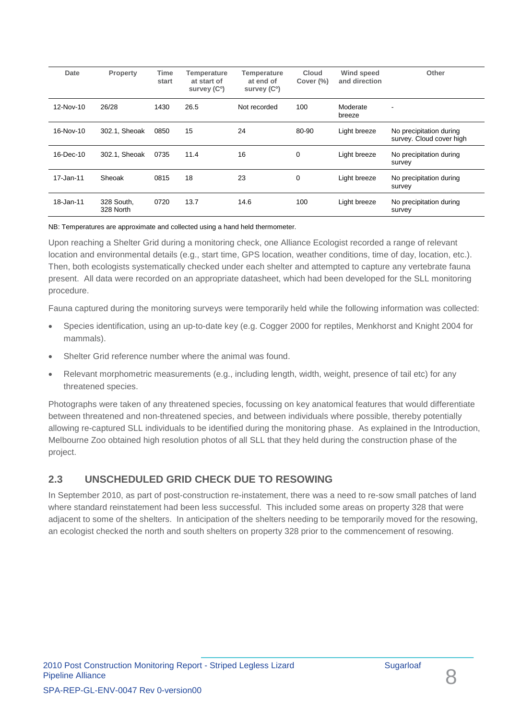| Date      | <b>Property</b>         | Time<br>start | <b>Temperature</b><br>at start of<br>survey (C <sup>o</sup> ) | <b>Temperature</b><br>at end of<br>survey (C <sup>o</sup> ) | <b>Cloud</b><br>Cover (%) | Wind speed<br>and direction | Other                                               |
|-----------|-------------------------|---------------|---------------------------------------------------------------|-------------------------------------------------------------|---------------------------|-----------------------------|-----------------------------------------------------|
| 12-Nov-10 | 26/28                   | 1430          | 26.5                                                          | Not recorded                                                | 100                       | Moderate<br>breeze          | ۰                                                   |
| 16-Nov-10 | 302.1, Sheoak           | 0850          | 15                                                            | 24                                                          | 80-90                     | Light breeze                | No precipitation during<br>survey. Cloud cover high |
| 16-Dec-10 | 302.1. Sheoak           | 0735          | 11.4                                                          | 16                                                          | $\mathbf 0$               | Light breeze                | No precipitation during<br>survey                   |
| 17-Jan-11 | Sheoak                  | 0815          | 18                                                            | 23                                                          | $\mathbf 0$               | Light breeze                | No precipitation during<br>survey                   |
| 18-Jan-11 | 328 South.<br>328 North | 0720          | 13.7                                                          | 14.6                                                        | 100                       | Light breeze                | No precipitation during<br>survey                   |

NB: Temperatures are approximate and collected using a hand held thermometer.

Upon reaching a Shelter Grid during a monitoring check, one Alliance Ecologist recorded a range of relevant location and environmental details (e.g., start time, GPS location, weather conditions, time of day, location, etc.). Then, both ecologists systematically checked under each shelter and attempted to capture any vertebrate fauna present. All data were recorded on an appropriate datasheet, which had been developed for the SLL monitoring procedure.

Fauna captured during the monitoring surveys were temporarily held while the following information was collected:

- Species identification, using an up-to-date key (e.g. Cogger 2000 for reptiles, Menkhorst and Knight 2004 for mammals).
- Shelter Grid reference number where the animal was found.
- Relevant morphometric measurements (e.g., including length, width, weight, presence of tail etc) for any threatened species.

Photographs were taken of any threatened species, focussing on key anatomical features that would differentiate between threatened and non-threatened species, and between individuals where possible, thereby potentially allowing re-captured SLL individuals to be identified during the monitoring phase. As explained in the Introduction, Melbourne Zoo obtained high resolution photos of all SLL that they held during the construction phase of the project.

## <span id="page-11-0"></span>**2.3 UNSCHEDULED GRID CHECK DUE TO RESOWING**

In September 2010, as part of post-construction re-instatement, there was a need to re-sow small patches of land where standard reinstatement had been less successful. This included some areas on property 328 that were adjacent to some of the shelters. In anticipation of the shelters needing to be temporarily moved for the resowing, an ecologist checked the north and south shelters on property 328 prior to the commencement of resowing.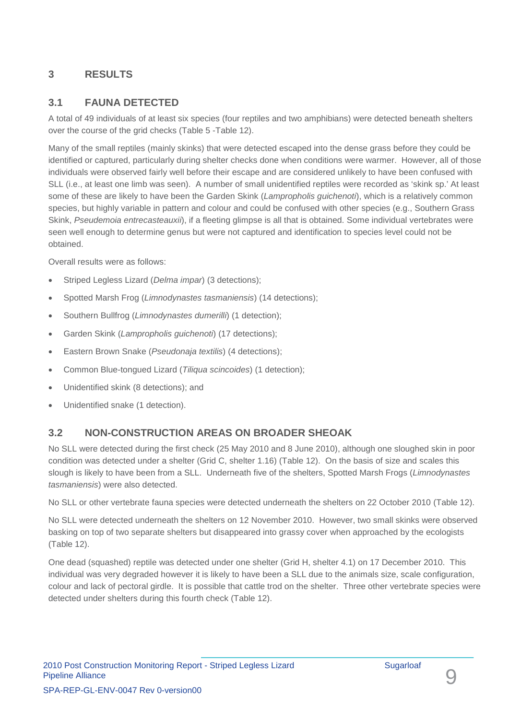## <span id="page-12-0"></span>**3 RESULTS**

## <span id="page-12-1"></span>**3.1 FAUNA DETECTED**

A total of 49 individuals of at least six species (four reptiles and two amphibians) were detected beneath shelters over the course of the grid checks [\(Table 5](#page-16-1) [-Table](#page-19-0) 12).

Many of the small reptiles (mainly skinks) that were detected escaped into the dense grass before they could be identified or captured, particularly during shelter checks done when conditions were warmer. However, all of those individuals were observed fairly well before their escape and are considered unlikely to have been confused with SLL (i.e., at least one limb was seen). A number of small unidentified reptiles were recorded as 'skink sp.' At least some of these are likely to have been the Garden Skink (*Lampropholis guichenoti*), which is a relatively common species, but highly variable in pattern and colour and could be confused with other species (e.g., Southern Grass Skink, *Pseudemoia entrecasteauxii*), if a fleeting glimpse is all that is obtained. Some individual vertebrates were seen well enough to determine genus but were not captured and identification to species level could not be obtained.

Overall results were as follows:

- Striped Legless Lizard (*Delma impar*) (3 detections);
- Spotted Marsh Frog (*Limnodynastes tasmaniensis*) (14 detections);
- Southern Bullfrog (*Limnodynastes dumerilli*) (1 detection);
- Garden Skink (*Lampropholis guichenoti*) (17 detections);
- Eastern Brown Snake (*Pseudonaja textilis*) (4 detections);
- Common Blue-tongued Lizard (*Tiliqua scincoides*) (1 detection);
- Unidentified skink (8 detections); and
- Unidentified snake (1 detection).

## <span id="page-12-2"></span>**3.2 NON-CONSTRUCTION AREAS ON BROADER SHEOAK**

No SLL were detected during the first check (25 May 2010 and 8 June 2010), although one sloughed skin in poor condition was detected under a shelter (Grid C, shelter 1.16) [\(Table 12\)](#page-19-0). On the basis of size and scales this slough is likely to have been from a SLL. Underneath five of the shelters, Spotted Marsh Frogs (*Limnodynastes tasmaniensis*) were also detected.

No SLL or other vertebrate fauna species were detected underneath the shelters on 22 October 2010 [\(Table 12\)](#page-19-0).

No SLL were detected underneath the shelters on 12 November 2010. However, two small skinks were observed basking on top of two separate shelters but disappeared into grassy cover when approached by the ecologists [\(Table 12\)](#page-19-0).

One dead (squashed) reptile was detected under one shelter (Grid H, shelter 4.1) on 17 December 2010. This individual was very degraded however it is likely to have been a SLL due to the animals size, scale configuration, colour and lack of pectoral girdle. It is possible that cattle trod on the shelter. Three other vertebrate species were detected under shelters during this fourth check [\(Table 12\)](#page-19-0).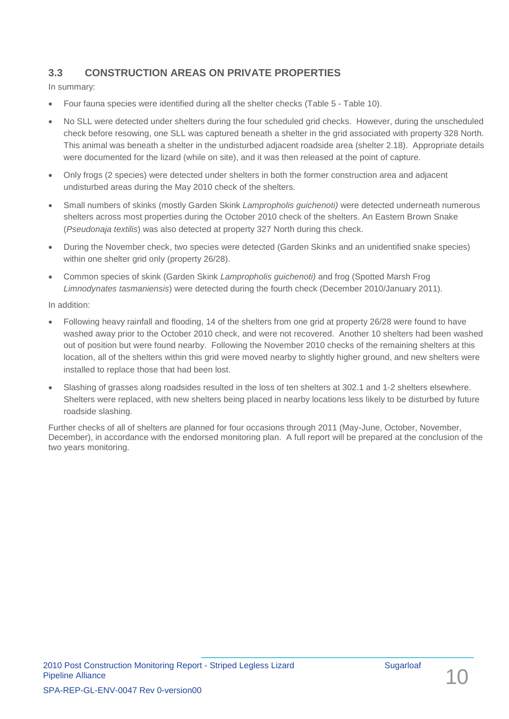## <span id="page-13-0"></span>**3.3 CONSTRUCTION AREAS ON PRIVATE PROPERTIES**

In summary:

- Four fauna species were identified during all the shelter checks [\(Table 5](#page-16-1) [Table](#page-18-0) 10).
- No SLL were detected under shelters during the four scheduled grid checks. However, during the unscheduled check before resowing, one SLL was captured beneath a shelter in the grid associated with property 328 North. This animal was beneath a shelter in the undisturbed adjacent roadside area (shelter 2.18). Appropriate details were documented for the lizard (while on site), and it was then released at the point of capture.
- Only frogs (2 species) were detected under shelters in both the former construction area and adjacent undisturbed areas during the May 2010 check of the shelters.
- Small numbers of skinks (mostly Garden Skink *Lampropholis guichenoti)* were detected underneath numerous shelters across most properties during the October 2010 check of the shelters. An Eastern Brown Snake (*Pseudonaja textilis*) was also detected at property 327 North during this check.
- During the November check, two species were detected (Garden Skinks and an unidentified snake species) within one shelter grid only (property 26/28).
- Common species of skink (Garden Skink *Lampropholis guichenoti)* and frog (Spotted Marsh Frog *Limnodynates tasmaniensis*) were detected during the fourth check (December 2010/January 2011).

In addition:

- Following heavy rainfall and flooding, 14 of the shelters from one grid at property 26/28 were found to have washed away prior to the October 2010 check, and were not recovered. Another 10 shelters had been washed out of position but were found nearby. Following the November 2010 checks of the remaining shelters at this location, all of the shelters within this grid were moved nearby to slightly higher ground, and new shelters were installed to replace those that had been lost.
- Slashing of grasses along roadsides resulted in the loss of ten shelters at 302.1 and 1-2 shelters elsewhere. Shelters were replaced, with new shelters being placed in nearby locations less likely to be disturbed by future roadside slashing.

Further checks of all of shelters are planned for four occasions through 2011 (May-June, October, November, December), in accordance with the endorsed monitoring plan. A full report will be prepared at the conclusion of the two years monitoring.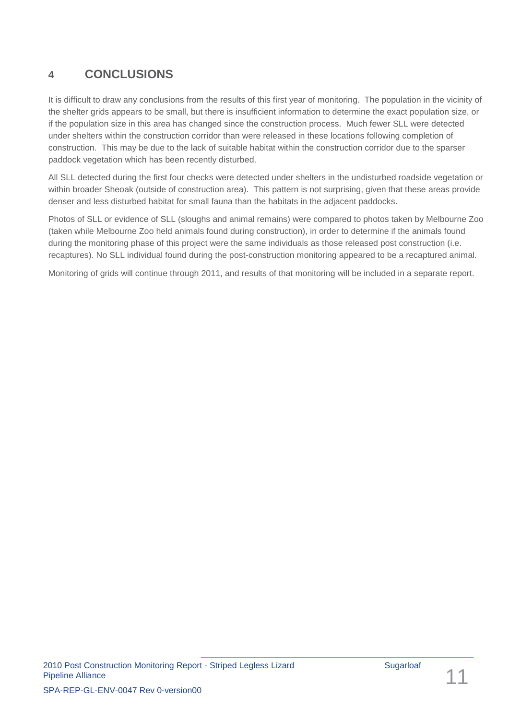# <span id="page-14-0"></span>**4 CONCLUSIONS**

It is difficult to draw any conclusions from the results of this first year of monitoring. The population in the vicinity of the shelter grids appears to be small, but there is insufficient information to determine the exact population size, or if the population size in this area has changed since the construction process. Much fewer SLL were detected under shelters within the construction corridor than were released in these locations following completion of construction. This may be due to the lack of suitable habitat within the construction corridor due to the sparser paddock vegetation which has been recently disturbed.

All SLL detected during the first four checks were detected under shelters in the undisturbed roadside vegetation or within broader Sheoak (outside of construction area). This pattern is not surprising, given that these areas provide denser and less disturbed habitat for small fauna than the habitats in the adjacent paddocks.

Photos of SLL or evidence of SLL (sloughs and animal remains) were compared to photos taken by Melbourne Zoo (taken while Melbourne Zoo held animals found during construction), in order to determine if the animals found during the monitoring phase of this project were the same individuals as those released post construction (i.e. recaptures). No SLL individual found during the post-construction monitoring appeared to be a recaptured animal.

Monitoring of grids will continue through 2011, and results of that monitoring will be included in a separate report.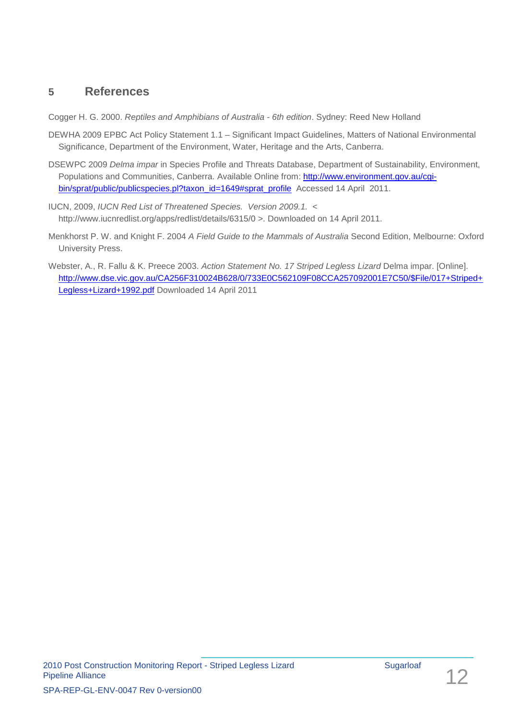## <span id="page-15-0"></span>**5 References**

Cogger H. G. 2000. *Reptiles and Amphibians of Australia - 6th edition*. Sydney: Reed New Holland

- DEWHA 2009 EPBC Act Policy Statement 1.1 Significant Impact Guidelines, Matters of National Environmental Significance, Department of the Environment, Water, Heritage and the Arts, Canberra.
- DSEWPC 2009 *Delma impar* in Species Profile and Threats Database, Department of Sustainability, Environment, Populations and Communities, Canberra. Available Online from: [http://www.environment.gov.au/cgi](http://www.environment.gov.au/cgi-bin/sprat/public/publicspecies.pl?taxon_id=1649#sprat_profile)[bin/sprat/public/publicspecies.pl?taxon\\_id=1649#sprat\\_profile](http://www.environment.gov.au/cgi-bin/sprat/public/publicspecies.pl?taxon_id=1649#sprat_profile) Accessed 14 April 2011.
- IUCN, 2009, *IUCN Red List of Threatened Species. Version 2009.1.* < http://www.iucnredlist.org/apps/redlist/details/6315/0 >. Downloaded on 14 April 2011.
- Menkhorst P. W. and Knight F. 2004 *A Field Guide to the Mammals of Australia* Second Edition, Melbourne: Oxford University Press.
- Webster, A., R. Fallu & K. Preece 2003. *Action Statement No. 17 Striped Legless Lizard* Delma impar. [Online]. [http://www.dse.vic.gov.au/CA256F310024B628/0/733E0C562109F08CCA257092001E7C50/\\$File/017+Striped+](http://www.dse.vic.gov.au/CA256F310024B628/0/733E0C562109F08CCA257092001E7C50/$File/017+Striped+Legless+Lizard+1992.pdf) [Legless+Lizard+1992.pdf](http://www.dse.vic.gov.au/CA256F310024B628/0/733E0C562109F08CCA257092001E7C50/$File/017+Striped+Legless+Lizard+1992.pdf) Downloaded 14 April 2011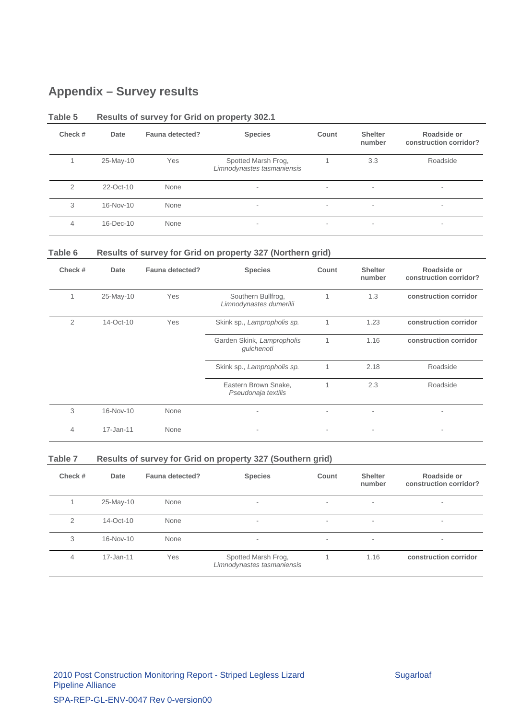# <span id="page-16-0"></span>**Appendix – Survey results**

| Check # | Date      | Fauna detected? | <b>Species</b>                                    | Count | <b>Shelter</b><br>number | Roadside or<br>construction corridor? |
|---------|-----------|-----------------|---------------------------------------------------|-------|--------------------------|---------------------------------------|
|         | 25-May-10 | Yes             | Spotted Marsh Frog,<br>Limnodynastes tasmaniensis |       | 3.3                      | Roadside                              |
| 2       | 22-Oct-10 | None            | $\overline{\phantom{a}}$                          |       | $\sim$                   | $\overline{\phantom{a}}$              |
| 3       | 16-Nov-10 | None            | ۰                                                 | ۰     | $\overline{\phantom{a}}$ | $\overline{\phantom{a}}$              |
| 4       | 16-Dec-10 | None            | ۰                                                 | ۰.    | $\sim$                   | $\overline{\phantom{a}}$              |

#### <span id="page-16-1"></span>**Table 5 Results of survey for Grid on property 302.1**

### **Table 6 Results of survey for Grid on property 327 (Northern grid)**

| Check # | Date      | Fauna detected? | <b>Species</b>                                | Count | <b>Shelter</b><br>number | Roadside or<br>construction corridor? |
|---------|-----------|-----------------|-----------------------------------------------|-------|--------------------------|---------------------------------------|
|         | 25-May-10 | Yes             | Southern Bullfrog,<br>Limnodynastes dumerilii | 1     | 1.3                      | construction corridor                 |
| 2       | 14-Oct-10 | Yes             | Skink sp., Lampropholis sp.                   | 1     | 1.23                     | construction corridor                 |
|         |           |                 | Garden Skink, Lampropholis<br>guichenoti      | 1     | 1.16                     | construction corridor                 |
|         |           |                 | Skink sp., Lampropholis sp.                   | 1     | 2.18                     | Roadside                              |
|         |           |                 | Eastern Brown Snake,<br>Pseudonaja textilis   | 1     | 2.3                      | Roadside                              |
| 3       | 16-Nov-10 | None            |                                               |       | $\overline{\phantom{a}}$ |                                       |
| 4       | 17-Jan-11 | None            |                                               |       | $\overline{\phantom{a}}$ | ۰                                     |

#### **Table 7 Results of survey for Grid on property 327 (Southern grid)**

| Check # | Date      | Fauna detected? | <b>Species</b>                                    | Count  | <b>Shelter</b><br>number | Roadside or<br>construction corridor? |
|---------|-----------|-----------------|---------------------------------------------------|--------|--------------------------|---------------------------------------|
|         | 25-May-10 | None            | ۰                                                 | ۰      | $\overline{\phantom{a}}$ | $\overline{\phantom{a}}$              |
| 2       | 14-Oct-10 | None            | ۰                                                 | ۰      | $\overline{\phantom{a}}$ | $\overline{\phantom{a}}$              |
| 3       | 16-Nov-10 | None            | $\overline{\phantom{a}}$                          | $\sim$ | $\overline{\phantom{a}}$ | $\overline{\phantom{a}}$              |
| 4       | 17-Jan-11 | Yes             | Spotted Marsh Frog,<br>Limnodynastes tasmaniensis |        | 1.16                     | construction corridor                 |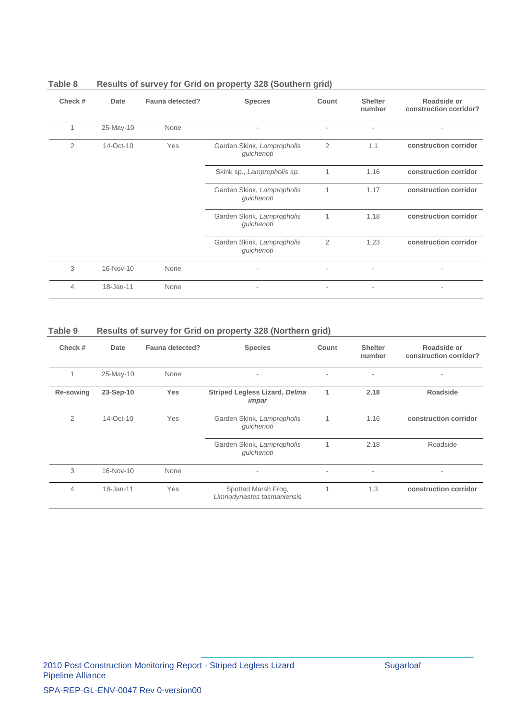| Check #        | Date      | Fauna detected? | <b>Species</b>                           | Count          | <b>Shelter</b><br>number | Roadside or<br>construction corridor? |
|----------------|-----------|-----------------|------------------------------------------|----------------|--------------------------|---------------------------------------|
|                | 25-May-10 | None            | $\overline{\phantom{0}}$                 | ٠              | $\overline{\phantom{a}}$ |                                       |
| $\overline{2}$ | 14-Oct-10 | Yes             | Garden Skink, Lampropholis<br>guichenoti | 2              | 1.1                      | construction corridor                 |
|                |           |                 | Skink sp., Lampropholis sp.              | 1              | 1.16                     | construction corridor                 |
|                |           |                 | Garden Skink, Lampropholis<br>guichenoti | 1              | 1.17                     | construction corridor                 |
|                |           |                 | Garden Skink, Lampropholis<br>guichenoti | 1              | 1.18                     | construction corridor                 |
|                |           |                 | Garden Skink, Lampropholis<br>guichenoti | $\overline{2}$ | 1.23                     | construction corridor                 |
| 3              | 16-Nov-10 | None            | $\overline{\phantom{a}}$                 | $\sim$         | $\overline{\phantom{a}}$ | ٠                                     |
| $\overline{4}$ | 18-Jan-11 | None            | ٠                                        | ٠              |                          | $\overline{\phantom{a}}$              |

### **Table 8 Results of survey for Grid on property 328 (Southern grid)**

### **Table 9 Results of survey for Grid on property 328 (Northern grid)**

| Check #   | Date      | Fauna detected? | <b>Species</b>                                    | Count | <b>Shelter</b><br>number | Roadside or<br>construction corridor? |
|-----------|-----------|-----------------|---------------------------------------------------|-------|--------------------------|---------------------------------------|
|           | 25-May-10 | None            | $\overline{\phantom{a}}$                          | ۰     | $\overline{\phantom{a}}$ | ٠                                     |
| Re-sowing | 23-Sep-10 | <b>Yes</b>      | <b>Striped Legless Lizard, Delma</b><br>impar     | 1     | 2.18                     | <b>Roadside</b>                       |
| 2         | 14-Oct-10 | Yes             | Garden Skink, Lampropholis<br>quichenoti          | 1     | 1.16                     | construction corridor                 |
|           |           |                 | Garden Skink, Lampropholis<br>guichenoti          |       | 2.18                     | Roadside                              |
| 3         | 16-Nov-10 | None            | $\overline{\phantom{a}}$                          | ۰     | ٠                        | ٠                                     |
| 4         | 18-Jan-11 | Yes             | Spotted Marsh Frog,<br>Limnodynastes tasmaniensis |       | 1.3                      | construction corridor                 |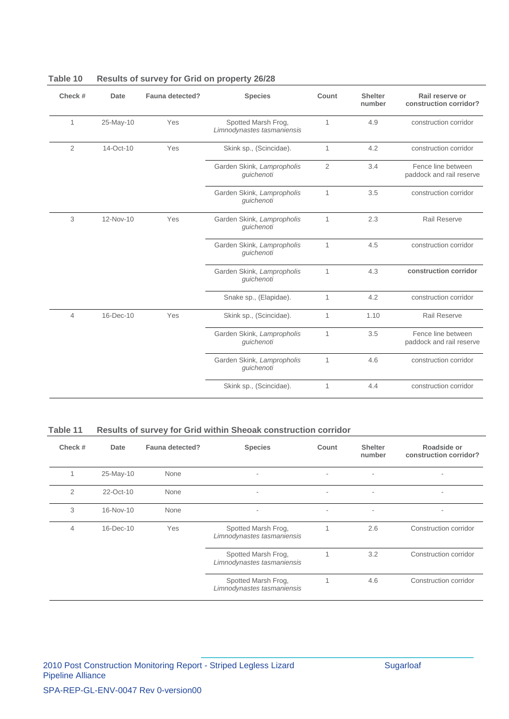| Check #        | Date         | Fauna detected? | <b>Species</b>                                    | Count          | <b>Shelter</b><br>number | Rail reserve or<br>construction corridor?      |
|----------------|--------------|-----------------|---------------------------------------------------|----------------|--------------------------|------------------------------------------------|
| $\mathbf{1}$   | 25-May-10    | Yes             | Spotted Marsh Frog,<br>Limnodynastes tasmaniensis | $\mathbf{1}$   | 4.9                      | construction corridor                          |
| 2              | $14$ -Oct-10 | Yes             | Skink sp., (Scincidae).                           | 1              | 4.2                      | construction corridor                          |
|                |              |                 | Garden Skink, Lampropholis<br>guichenoti          | $\overline{2}$ | 3.4                      | Fence line between<br>paddock and rail reserve |
|                |              |                 | Garden Skink, Lampropholis<br>guichenoti          | $\mathbf{1}$   | 3.5                      | construction corridor                          |
| 3              | 12-Nov-10    | Yes             | Garden Skink, Lampropholis<br>guichenoti          | $\mathbf{1}$   | 2.3                      | Rail Reserve                                   |
|                |              |                 | Garden Skink, Lampropholis<br>quichenoti          | 1              | 4.5                      | construction corridor                          |
|                |              |                 | Garden Skink, Lampropholis<br>quichenoti          | $\mathbf{1}$   | 4.3                      | construction corridor                          |
|                |              |                 | Snake sp., (Elapidae).                            | $\mathbf{1}$   | 4.2                      | construction corridor                          |
| $\overline{4}$ | 16-Dec-10    | Yes             | Skink sp., (Scincidae).                           | 1              | 1.10                     | <b>Rail Reserve</b>                            |
|                |              |                 | Garden Skink, Lampropholis<br>guichenoti          | 1              | 3.5                      | Fence line between<br>paddock and rail reserve |
|                |              |                 | Garden Skink, Lampropholis<br>guichenoti          | 1              | 4.6                      | construction corridor                          |
|                |              |                 | Skink sp., (Scincidae).                           | 1              | 4.4                      | construction corridor                          |

### <span id="page-18-0"></span>**Table 10 Results of survey for Grid on property 26/28**

### **Table 11 Results of survey for Grid within Sheoak construction corridor**

| Check # | Date         | Fauna detected? | <b>Species</b>                                    | Count | <b>Shelter</b><br>number | Roadside or<br>construction corridor? |
|---------|--------------|-----------------|---------------------------------------------------|-------|--------------------------|---------------------------------------|
|         | 25-May-10    | None            | ٠                                                 | ۰     | ٠                        | ۰                                     |
| 2       | 22-Oct-10    | None            | $\overline{\phantom{a}}$                          | ۰     | $\overline{\phantom{a}}$ | ۰                                     |
| 3       | 16-Nov-10    | None            | $\overline{\phantom{a}}$                          | ۰     | $\overline{\phantom{a}}$ |                                       |
| 4       | $16$ -Dec-10 | Yes             | Spotted Marsh Frog,<br>Limnodynastes tasmaniensis |       | 2.6                      | Construction corridor                 |
|         |              |                 | Spotted Marsh Frog,<br>Limnodynastes tasmaniensis |       | 3.2                      | Construction corridor                 |
|         |              |                 | Spotted Marsh Frog,<br>Limnodynastes tasmaniensis |       | 4.6                      | Construction corridor                 |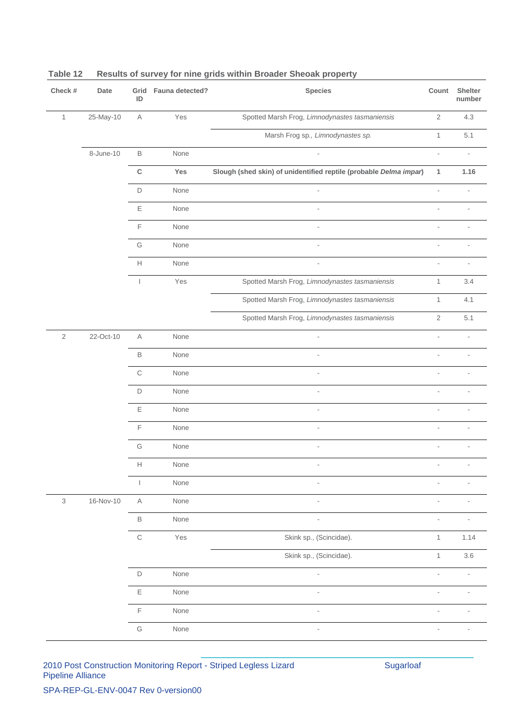| Check #        | Date      | ID                       | Grid Fauna detected? | <b>Species</b>                                                    | Count                    | Shelter<br>number        |
|----------------|-----------|--------------------------|----------------------|-------------------------------------------------------------------|--------------------------|--------------------------|
| $\mathbf{1}$   | 25-May-10 | $\mathsf A$              | Yes                  | Spotted Marsh Frog, Limnodynastes tasmaniensis                    | $\sqrt{2}$               | 4.3                      |
|                |           |                          |                      | Marsh Frog sp., Limnodynastes sp.                                 | $\mathbf{1}$             | 5.1                      |
|                | 8-June-10 | $\mathsf B$              | None                 |                                                                   | ÷,                       |                          |
|                |           | $\mathsf C$              | Yes                  | Slough (shed skin) of unidentified reptile (probable Delma impar) | $\mathbf{1}$             | 1.16                     |
|                |           | $\mathsf D$              | None                 |                                                                   | $\overline{\phantom{a}}$ |                          |
|                |           | $\mathsf E$              | None                 | $\overline{\phantom{a}}$                                          | ÷,                       | $\overline{\phantom{a}}$ |
|                |           | $\mathsf F$              | None                 | ÷,                                                                |                          |                          |
|                |           | G                        | None                 | $\overline{a}$                                                    | J.                       | ٠                        |
|                |           | Н                        | None                 | ä,                                                                | ÷,                       | ÷                        |
|                |           | $\overline{\phantom{a}}$ | Yes                  | Spotted Marsh Frog, Limnodynastes tasmaniensis                    | $\mathbf{1}$             | 3.4                      |
|                |           |                          |                      | Spotted Marsh Frog, Limnodynastes tasmaniensis                    | $\mathbf{1}$             | 4.1                      |
|                |           |                          |                      | Spotted Marsh Frog, Limnodynastes tasmaniensis                    | $\sqrt{2}$               | 5.1                      |
| $\sqrt{2}$     | 22-Oct-10 | $\mathsf A$              | None                 |                                                                   | ÷,                       | ÷,                       |
|                |           | $\mathsf B$              | None                 |                                                                   |                          |                          |
|                |           | $\mathbb C$              | None                 | $\overline{a}$                                                    |                          |                          |
|                |           | D                        | None                 | $\overline{\phantom{a}}$                                          |                          | ÷                        |
|                |           | Ε                        | None                 | $\blacksquare$                                                    |                          |                          |
|                |           | $\mathsf F$              | None                 | ÷,                                                                |                          |                          |
|                |           | G                        | None                 |                                                                   |                          |                          |
|                |           | $\mathbb H$              | None                 |                                                                   | $\overline{\phantom{a}}$ |                          |
|                |           |                          | None                 |                                                                   |                          |                          |
| $\mathfrak{Z}$ | 16-Nov-10 | $\mathsf{A}$             | None                 | L,                                                                | ÷.                       |                          |
|                |           | $\mathsf B$              | None                 | $\overline{a}$                                                    | ÷.                       |                          |
|                |           | $\mathsf C$              | Yes                  | Skink sp., (Scincidae).                                           | $\mathbf{1}$             | 1.14                     |
|                |           |                          |                      | Skink sp., (Scincidae).                                           | 1                        | $3.6\,$                  |
|                |           | $\mathsf D$              | None                 |                                                                   |                          |                          |
|                |           | $\mathsf E$              | None                 | $\overline{\phantom{a}}$                                          | $\overline{\phantom{a}}$ | $\overline{\phantom{m}}$ |
|                |           | $\mathsf F$              | None                 | $\blacksquare$                                                    |                          |                          |
|                |           | G                        | None                 | $\overline{a}$                                                    |                          | ÷                        |

## <span id="page-19-0"></span>**Table 12 Results of survey for nine grids within Broader Sheoak property**